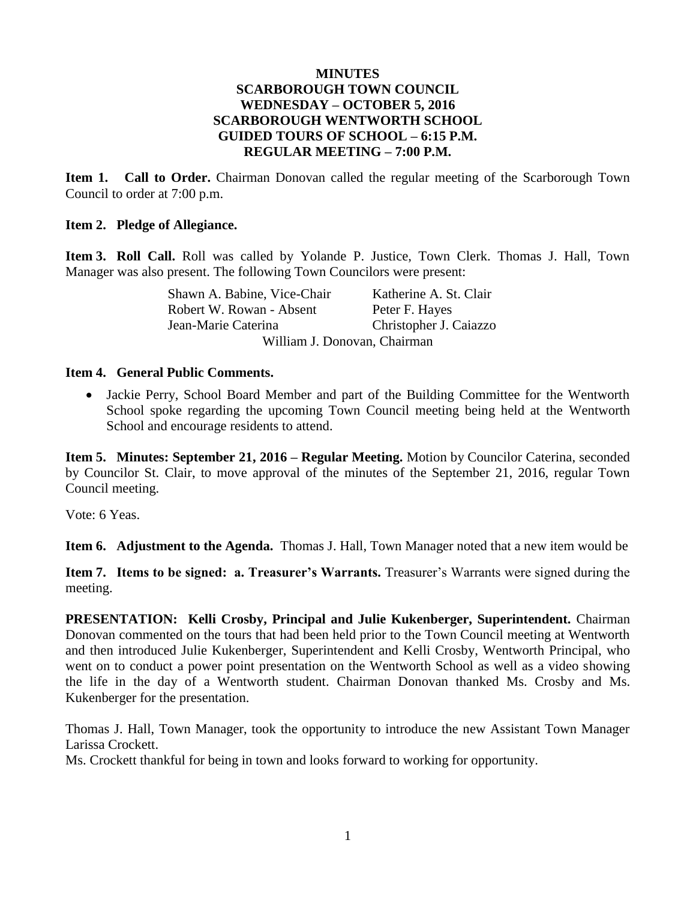## **MINUTES SCARBOROUGH TOWN COUNCIL WEDNESDAY – OCTOBER 5, 2016 SCARBOROUGH WENTWORTH SCHOOL GUIDED TOURS OF SCHOOL – 6:15 P.M. REGULAR MEETING – 7:00 P.M.**

**Item 1. Call to Order.** Chairman Donovan called the regular meeting of the Scarborough Town Council to order at 7:00 p.m.

# **Item 2. Pledge of Allegiance.**

**Item 3. Roll Call.** Roll was called by Yolande P. Justice, Town Clerk. Thomas J. Hall, Town Manager was also present. The following Town Councilors were present:

> Shawn A. Babine, Vice-Chair Katherine A. St. Clair Robert W. Rowan - Absent Peter F. Hayes Jean-Marie Caterina Christopher J. Caiazzo William J. Donovan, Chairman

# **Item 4. General Public Comments.**

• Jackie Perry, School Board Member and part of the Building Committee for the Wentworth School spoke regarding the upcoming Town Council meeting being held at the Wentworth School and encourage residents to attend.

**Item 5. Minutes: September 21, 2016 – Regular Meeting.** Motion by Councilor Caterina, seconded by Councilor St. Clair, to move approval of the minutes of the September 21, 2016, regular Town Council meeting.

Vote: 6 Yeas.

**Item 6. Adjustment to the Agenda.** Thomas J. Hall, Town Manager noted that a new item would be

**Item 7. Items to be signed: a. Treasurer's Warrants.** Treasurer's Warrants were signed during the meeting.

**PRESENTATION: Kelli Crosby, Principal and Julie Kukenberger, Superintendent.** Chairman Donovan commented on the tours that had been held prior to the Town Council meeting at Wentworth and then introduced Julie Kukenberger, Superintendent and Kelli Crosby, Wentworth Principal, who went on to conduct a power point presentation on the Wentworth School as well as a video showing the life in the day of a Wentworth student. Chairman Donovan thanked Ms. Crosby and Ms. Kukenberger for the presentation.

Thomas J. Hall, Town Manager, took the opportunity to introduce the new Assistant Town Manager Larissa Crockett.

Ms. Crockett thankful for being in town and looks forward to working for opportunity.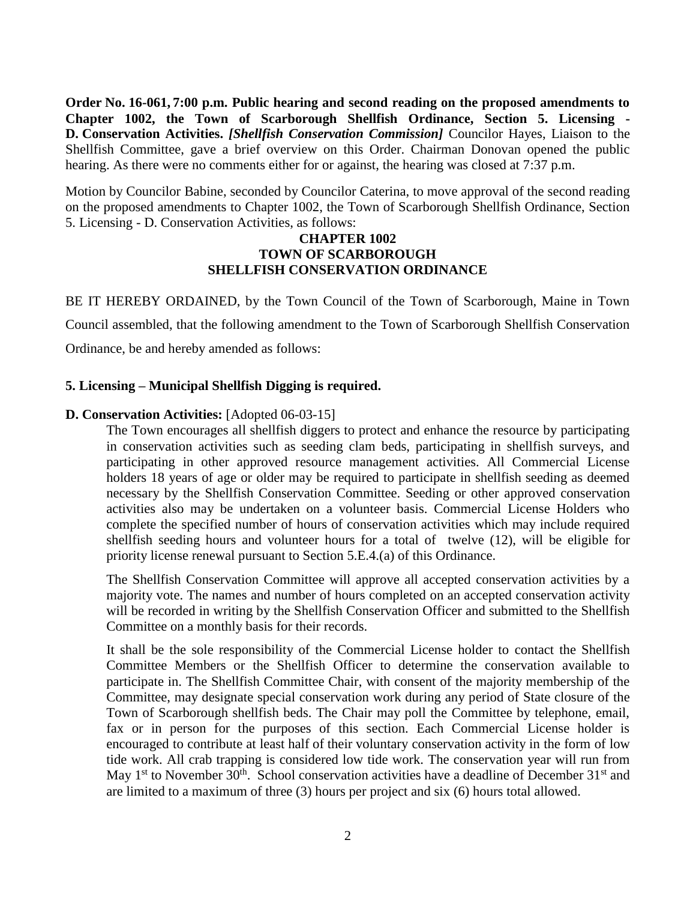**Order No. 16-061, 7:00 p.m. Public hearing and second reading on the proposed amendments to Chapter 1002, the Town of Scarborough Shellfish Ordinance, Section 5. Licensing - D. Conservation Activities.** *[Shellfish Conservation Commission]* Councilor Hayes, Liaison to the Shellfish Committee, gave a brief overview on this Order. Chairman Donovan opened the public hearing. As there were no comments either for or against, the hearing was closed at 7:37 p.m.

Motion by Councilor Babine, seconded by Councilor Caterina, to move approval of the second reading on the proposed amendments to Chapter 1002, the Town of Scarborough Shellfish Ordinance, Section 5. Licensing - D. Conservation Activities, as follows:

# **CHAPTER 1002 TOWN OF SCARBOROUGH SHELLFISH CONSERVATION ORDINANCE**

BE IT HEREBY ORDAINED, by the Town Council of the Town of Scarborough, Maine in Town Council assembled, that the following amendment to the Town of Scarborough Shellfish Conservation Ordinance, be and hereby amended as follows:

# **5. Licensing – Municipal Shellfish Digging is required.**

# **D. Conservation Activities:** [Adopted 06-03-15]

The Town encourages all shellfish diggers to protect and enhance the resource by participating in conservation activities such as seeding clam beds, participating in shellfish surveys, and participating in other approved resource management activities. All Commercial License holders 18 years of age or older may be required to participate in shellfish seeding as deemed necessary by the Shellfish Conservation Committee. Seeding or other approved conservation activities also may be undertaken on a volunteer basis. Commercial License Holders who complete the specified number of hours of conservation activities which may include required shellfish seeding hours and volunteer hours for a total of twelve (12), will be eligible for priority license renewal pursuant to Section 5.E.4.(a) of this Ordinance.

The Shellfish Conservation Committee will approve all accepted conservation activities by a majority vote. The names and number of hours completed on an accepted conservation activity will be recorded in writing by the Shellfish Conservation Officer and submitted to the Shellfish Committee on a monthly basis for their records.

It shall be the sole responsibility of the Commercial License holder to contact the Shellfish Committee Members or the Shellfish Officer to determine the conservation available to participate in. The Shellfish Committee Chair, with consent of the majority membership of the Committee, may designate special conservation work during any period of State closure of the Town of Scarborough shellfish beds. The Chair may poll the Committee by telephone, email, fax or in person for the purposes of this section. Each Commercial License holder is encouraged to contribute at least half of their voluntary conservation activity in the form of low tide work. All crab trapping is considered low tide work. The conservation year will run from May  $1<sup>st</sup>$  to November 30<sup>th</sup>. School conservation activities have a deadline of December 31<sup>st</sup> and are limited to a maximum of three (3) hours per project and six (6) hours total allowed.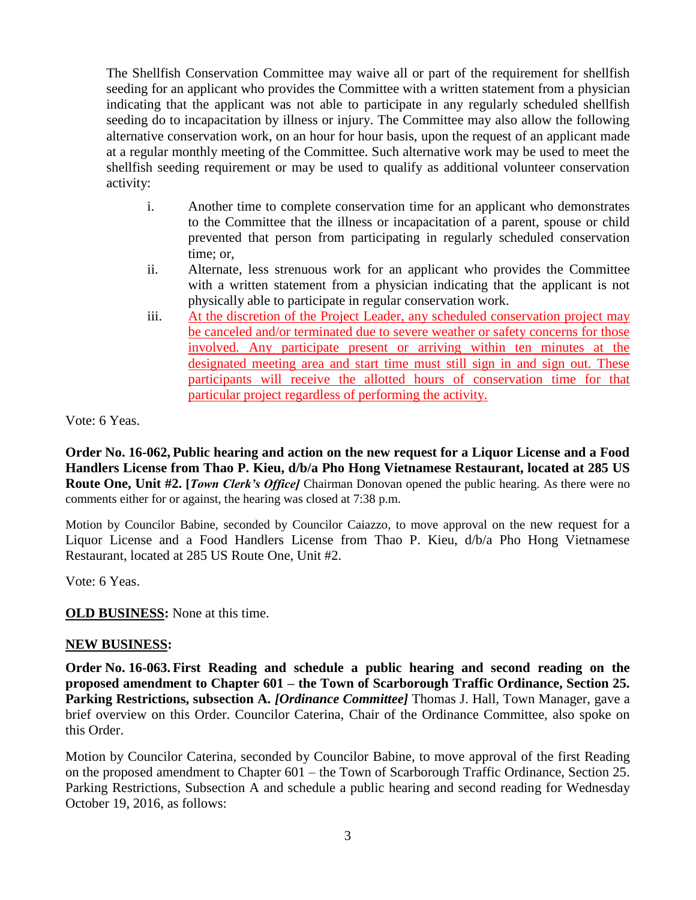The Shellfish Conservation Committee may waive all or part of the requirement for shellfish seeding for an applicant who provides the Committee with a written statement from a physician indicating that the applicant was not able to participate in any regularly scheduled shellfish seeding do to incapacitation by illness or injury. The Committee may also allow the following alternative conservation work, on an hour for hour basis, upon the request of an applicant made at a regular monthly meeting of the Committee. Such alternative work may be used to meet the shellfish seeding requirement or may be used to qualify as additional volunteer conservation activity:

- i. Another time to complete conservation time for an applicant who demonstrates to the Committee that the illness or incapacitation of a parent, spouse or child prevented that person from participating in regularly scheduled conservation time; or,
- ii. Alternate, less strenuous work for an applicant who provides the Committee with a written statement from a physician indicating that the applicant is not physically able to participate in regular conservation work.
- iii. At the discretion of the Project Leader, any scheduled conservation project may be canceled and/or terminated due to severe weather or safety concerns for those involved. Any participate present or arriving within ten minutes at the designated meeting area and start time must still sign in and sign out. These participants will receive the allotted hours of conservation time for that particular project regardless of performing the activity.

Vote: 6 Yeas.

**Order No. 16-062, Public hearing and action on the new request for a Liquor License and a Food Handlers License from Thao P. Kieu, d/b/a Pho Hong Vietnamese Restaurant, located at 285 US Route One, Unit #2. [***Town Clerk's Office]* Chairman Donovan opened the public hearing. As there were no comments either for or against, the hearing was closed at 7:38 p.m.

Motion by Councilor Babine, seconded by Councilor Caiazzo, to move approval on the new request for a Liquor License and a Food Handlers License from Thao P. Kieu, d/b/a Pho Hong Vietnamese Restaurant, located at 285 US Route One, Unit #2.

Vote: 6 Yeas.

**OLD BUSINESS:** None at this time.

# **NEW BUSINESS:**

**Order No. 16-063. First Reading and schedule a public hearing and second reading on the proposed amendment to Chapter 601 – the Town of Scarborough Traffic Ordinance, Section 25. Parking Restrictions, subsection A.** *[Ordinance Committee]* Thomas J. Hall, Town Manager, gave a brief overview on this Order. Councilor Caterina, Chair of the Ordinance Committee, also spoke on this Order.

Motion by Councilor Caterina, seconded by Councilor Babine, to move approval of the first Reading on the proposed amendment to Chapter 601 – the Town of Scarborough Traffic Ordinance, Section 25. Parking Restrictions, Subsection A and schedule a public hearing and second reading for Wednesday October 19, 2016, as follows: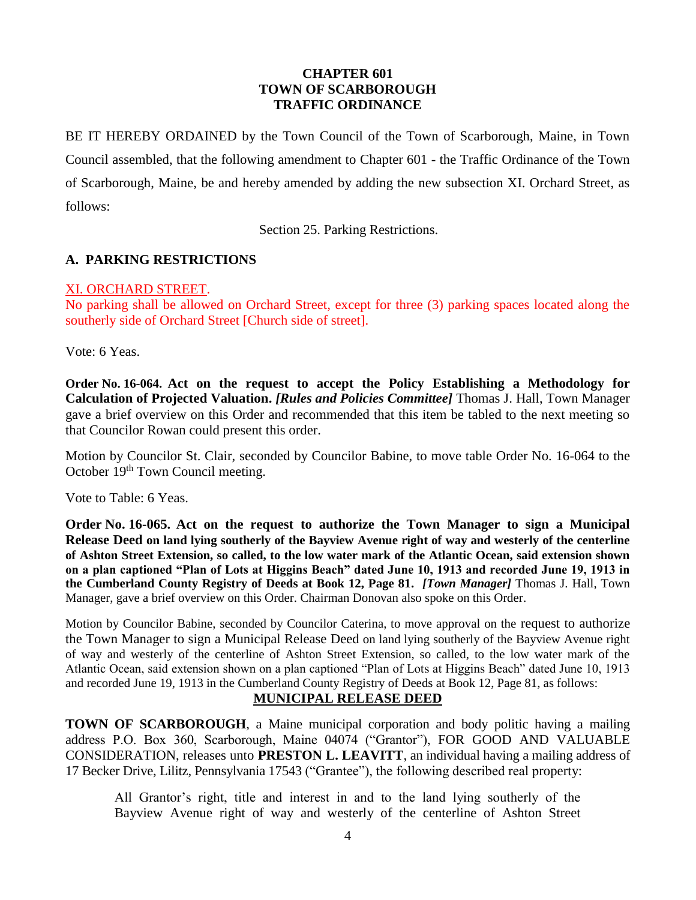#### **CHAPTER 601 TOWN OF SCARBOROUGH TRAFFIC ORDINANCE**

BE IT HEREBY ORDAINED by the Town Council of the Town of Scarborough, Maine, in Town Council assembled, that the following amendment to Chapter 601 - the Traffic Ordinance of the Town of Scarborough, Maine, be and hereby amended by adding the new subsection XI. Orchard Street, as follows:

Section 25. Parking Restrictions.

# **A. PARKING RESTRICTIONS**

# XI. ORCHARD STREET.

No parking shall be allowed on Orchard Street, except for three (3) parking spaces located along the southerly side of Orchard Street [Church side of street].

Vote: 6 Yeas.

**Order No. 16-064. Act on the request to accept the Policy Establishing a Methodology for Calculation of Projected Valuation.** *[Rules and Policies Committee]* Thomas J. Hall, Town Manager gave a brief overview on this Order and recommended that this item be tabled to the next meeting so that Councilor Rowan could present this order.

Motion by Councilor St. Clair, seconded by Councilor Babine, to move table Order No. 16-064 to the October 19<sup>th</sup> Town Council meeting.

Vote to Table: 6 Yeas.

**Order No. 16-065. Act on the request to authorize the Town Manager to sign a Municipal Release Deed on land lying southerly of the Bayview Avenue right of way and westerly of the centerline of Ashton Street Extension, so called, to the low water mark of the Atlantic Ocean, said extension shown on a plan captioned "Plan of Lots at Higgins Beach" dated June 10, 1913 and recorded June 19, 1913 in the Cumberland County Registry of Deeds at Book 12, Page 81.** *[Town Manager]* Thomas J. Hall, Town Manager, gave a brief overview on this Order. Chairman Donovan also spoke on this Order.

Motion by Councilor Babine, seconded by Councilor Caterina, to move approval on the request to authorize the Town Manager to sign a Municipal Release Deed on land lying southerly of the Bayview Avenue right of way and westerly of the centerline of Ashton Street Extension, so called, to the low water mark of the Atlantic Ocean, said extension shown on a plan captioned "Plan of Lots at Higgins Beach" dated June 10, 1913 and recorded June 19, 1913 in the Cumberland County Registry of Deeds at Book 12, Page 81, as follows:

# **MUNICIPAL RELEASE DEED**

**TOWN OF SCARBOROUGH**, a Maine municipal corporation and body politic having a mailing address P.O. Box 360, Scarborough, Maine 04074 ("Grantor"), FOR GOOD AND VALUABLE CONSIDERATION, releases unto **PRESTON L. LEAVITT**, an individual having a mailing address of 17 Becker Drive, Lilitz, Pennsylvania 17543 ("Grantee"), the following described real property:

All Grantor's right, title and interest in and to the land lying southerly of the Bayview Avenue right of way and westerly of the centerline of Ashton Street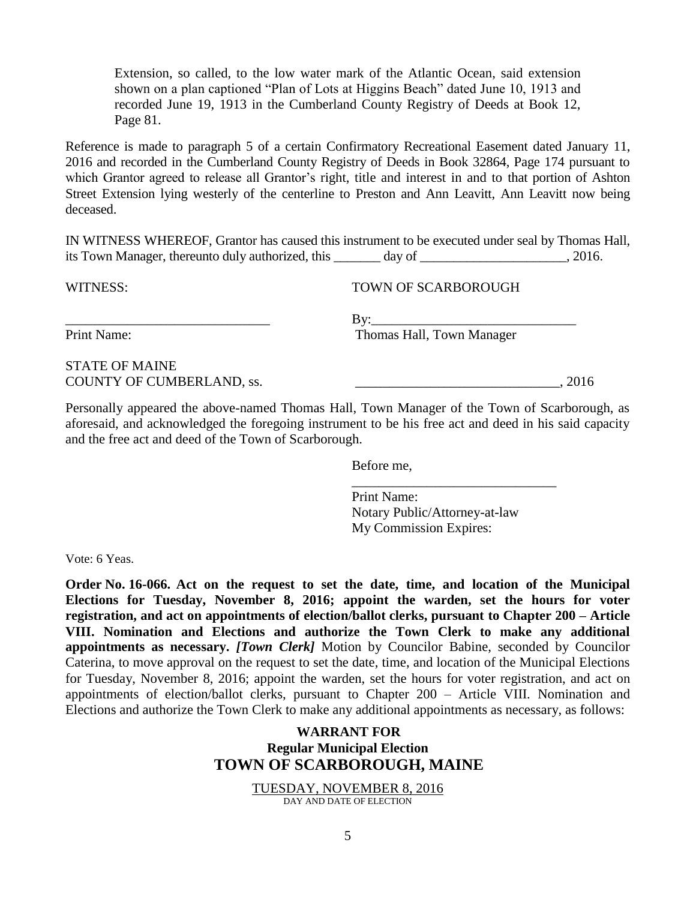Extension, so called, to the low water mark of the Atlantic Ocean, said extension shown on a plan captioned "Plan of Lots at Higgins Beach" dated June 10, 1913 and recorded June 19, 1913 in the Cumberland County Registry of Deeds at Book 12, Page 81.

Reference is made to paragraph 5 of a certain Confirmatory Recreational Easement dated January 11, 2016 and recorded in the Cumberland County Registry of Deeds in Book 32864, Page 174 pursuant to which Grantor agreed to release all Grantor's right, title and interest in and to that portion of Ashton Street Extension lying westerly of the centerline to Preston and Ann Leavitt, Ann Leavitt now being deceased.

IN WITNESS WHEREOF, Grantor has caused this instrument to be executed under seal by Thomas Hall, its Town Manager, thereunto duly authorized, this \_\_\_\_\_\_\_ day of \_\_\_\_\_\_\_\_\_\_\_\_\_\_\_\_\_\_\_, 2016.

\_\_\_\_\_\_\_\_\_\_\_\_\_\_\_\_\_\_\_\_\_\_\_\_\_\_\_\_\_\_ By:\_\_\_\_\_\_\_\_\_\_\_\_\_\_\_\_\_\_\_\_\_\_\_\_\_\_\_\_\_\_

WITNESS: TOWN OF SCARBOROUGH

Print Name: Thomas Hall, Town Manager

STATE OF MAINE COUNTY OF CUMBERLAND, ss. \_\_\_\_\_\_\_\_\_\_\_\_\_\_\_\_\_\_\_\_\_\_\_\_\_\_\_\_\_\_, 2016

Personally appeared the above-named Thomas Hall, Town Manager of the Town of Scarborough, as aforesaid, and acknowledged the foregoing instrument to be his free act and deed in his said capacity and the free act and deed of the Town of Scarborough.

Before me,

\_\_\_\_\_\_\_\_\_\_\_\_\_\_\_\_\_\_\_\_\_\_\_\_\_\_\_\_\_\_ Print Name: Notary Public/Attorney-at-law My Commission Expires:

Vote: 6 Yeas.

**Order No. 16-066. Act on the request to set the date, time, and location of the Municipal Elections for Tuesday, November 8, 2016; appoint the warden, set the hours for voter registration, and act on appointments of election/ballot clerks, pursuant to Chapter 200 – Article VIII. Nomination and Elections and authorize the Town Clerk to make any additional appointments as necessary.** *[Town Clerk]* Motion by Councilor Babine, seconded by Councilor Caterina, to move approval on the request to set the date, time, and location of the Municipal Elections for Tuesday, November 8, 2016; appoint the warden, set the hours for voter registration, and act on appointments of election/ballot clerks, pursuant to Chapter 200 – Article VIII. Nomination and Elections and authorize the Town Clerk to make any additional appointments as necessary, as follows:

# **WARRANT FOR Regular Municipal Election TOWN OF SCARBOROUGH, MAINE**

TUESDAY, NOVEMBER 8, 2016 DAY AND DATE OF ELECTION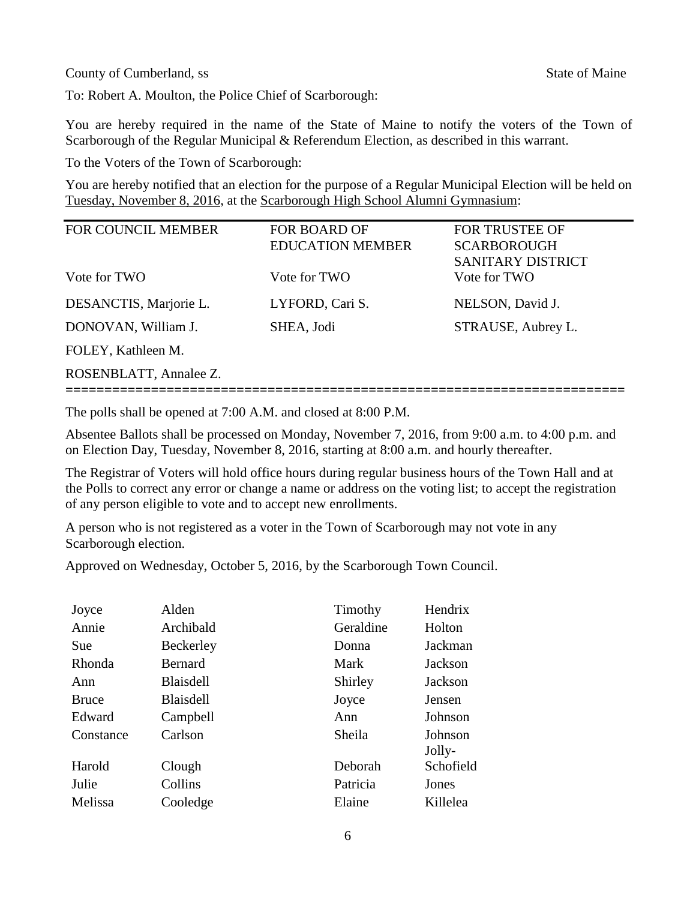County of Cumberland, ss State of Maine

To: Robert A. Moulton, the Police Chief of Scarborough:

You are hereby required in the name of the State of Maine to notify the voters of the Town of Scarborough of the Regular Municipal & Referendum Election, as described in this warrant.

To the Voters of the Town of Scarborough:

You are hereby notified that an election for the purpose of a Regular Municipal Election will be held on Tuesday, November 8, 2016, at the Scarborough High School Alumni Gymnasium: ֧֪֚֞֝֬֝֬֝֬֝֬֝֬֝֬֝

| <b>FOR BOARD OF</b><br><b>EDUCATION MEMBER</b> | <b>FOR TRUSTEE OF</b><br><b>SCARBOROUGH</b> |
|------------------------------------------------|---------------------------------------------|
| Vote for TWO                                   | <b>SANITARY DISTRICT</b><br>Vote for TWO    |
| LYFORD, Cari S.                                | NELSON, David J.                            |
| SHEA, Jodi                                     | STRAUSE, Aubrey L.                          |
|                                                |                                             |
|                                                |                                             |
|                                                |                                             |

The polls shall be opened at 7:00 A.M. and closed at 8:00 P.M.

Absentee Ballots shall be processed on Monday, November 7, 2016, from 9:00 a.m. to 4:00 p.m. and on Election Day, Tuesday, November 8, 2016, starting at 8:00 a.m. and hourly thereafter.

The Registrar of Voters will hold office hours during regular business hours of the Town Hall and at the Polls to correct any error or change a name or address on the voting list; to accept the registration of any person eligible to vote and to accept new enrollments.

A person who is not registered as a voter in the Town of Scarborough may not vote in any Scarborough election.

Approved on Wednesday, October 5, 2016, by the Scarborough Town Council.

| Joyce        | Alden            | Timothy   | Hendrix   |
|--------------|------------------|-----------|-----------|
| Annie        | Archibald        | Geraldine | Holton    |
| Sue          | Beckerley        | Donna     | Jackman   |
| Rhonda       | Bernard          | Mark      | Jackson   |
| Ann          | <b>Blaisdell</b> | Shirley   | Jackson   |
| <b>Bruce</b> | <b>Blaisdell</b> | Joyce     | Jensen    |
| Edward       | Campbell         | Ann       | Johnson   |
| Constance    | Carlson          | Sheila    | Johnson   |
|              |                  |           | Jolly-    |
| Harold       | Clough           | Deborah   | Schofield |
| Julie        | Collins          | Patricia  | Jones     |
| Melissa      | Cooledge         | Elaine    | Killelea  |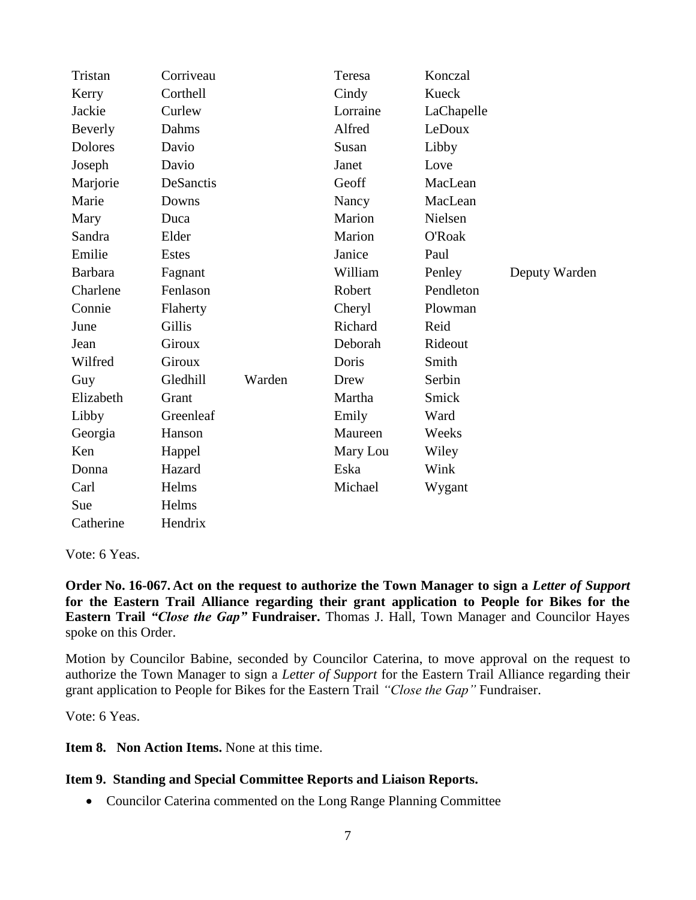| Tristan        | Corriveau    |        | Teresa   | Konczal       |               |
|----------------|--------------|--------|----------|---------------|---------------|
| Kerry          | Corthell     |        | Cindy    | Kueck         |               |
| Jackie         | Curlew       |        | Lorraine | LaChapelle    |               |
| Beverly        | Dahms        |        | Alfred   | LeDoux        |               |
| Dolores        | Davio        |        | Susan    | Libby         |               |
| Joseph         | Davio        |        | Janet    | Love          |               |
| Marjorie       | DeSanctis    |        | Geoff    | MacLean       |               |
| Marie          | Downs        |        | Nancy    | MacLean       |               |
| Mary           | Duca         |        | Marion   | Nielsen       |               |
| Sandra         | Elder        |        | Marion   | <b>O'Roak</b> |               |
| Emilie         | <b>Estes</b> |        | Janice   | Paul          |               |
| <b>Barbara</b> | Fagnant      |        | William  | Penley        | Deputy Warden |
| Charlene       | Fenlason     |        | Robert   | Pendleton     |               |
| Connie         | Flaherty     |        | Cheryl   | Plowman       |               |
| June           | Gillis       |        | Richard  | Reid          |               |
| Jean           | Giroux       |        | Deborah  | Rideout       |               |
| Wilfred        | Giroux       |        | Doris    | Smith         |               |
| Guy            | Gledhill     | Warden | Drew     | Serbin        |               |
| Elizabeth      | Grant        |        | Martha   | Smick         |               |
| Libby          | Greenleaf    |        | Emily    | Ward          |               |
| Georgia        | Hanson       |        | Maureen  | Weeks         |               |
| Ken            | Happel       |        | Mary Lou | Wiley         |               |
| Donna          | Hazard       |        | Eska     | Wink          |               |
| Carl           | Helms        |        | Michael  | Wygant        |               |
| Sue            | Helms        |        |          |               |               |
| Catherine      | Hendrix      |        |          |               |               |

Vote: 6 Yeas.

**Order No. 16-067. Act on the request to authorize the Town Manager to sign a** *Letter of Support*  **for the Eastern Trail Alliance regarding their grant application to People for Bikes for the Eastern Trail** *"Close the Gap"* **Fundraiser.** Thomas J. Hall, Town Manager and Councilor Hayes spoke on this Order.

Motion by Councilor Babine, seconded by Councilor Caterina, to move approval on the request to authorize the Town Manager to sign a *Letter of Support* for the Eastern Trail Alliance regarding their grant application to People for Bikes for the Eastern Trail *"Close the Gap"* Fundraiser.

Vote: 6 Yeas.

**Item 8. Non Action Items.** None at this time.

# **Item 9. Standing and Special Committee Reports and Liaison Reports.**

Councilor Caterina commented on the Long Range Planning Committee